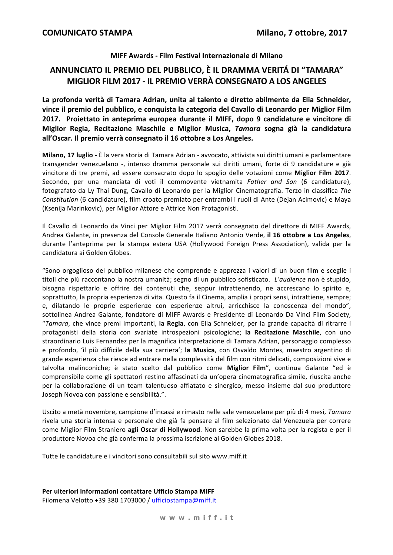### MIFF Awards - Film Festival Internazionale di Milano

## ANNUNCIATO IL PREMIO DEL PUBBLICO, È IL DRAMMA VERITÁ DI "TAMARA" MIGLIOR FILM 2017 - IL PREMIO VERRÀ CONSEGNATO A LOS ANGELES

La profonda verità di Tamara Adrian, unita al talento e diretto abilmente da Elia Schneider. vince il premio del pubblico, e conquista la categoria del Cavallo di Leonardo per Miglior Film 2017. Proiettato in anteprima europea durante il MIFF, dopo 9 candidature e vincitore di Miglior Regia, Recitazione Maschile e Miglior Musica, Tamara sogna già la candidatura all'Oscar. Il premio verrà consegnato il 16 ottobre a Los Angeles.

Milano, 17 luglio - È la vera storia di Tamara Adrian - avvocato, attivista sui diritti umani e parlamentare transgender venezuelano -, intenso dramma personale sui diritti umani, forte di 9 candidature e già vincitore di tre premi, ad essere consacrato dopo lo spoglio delle votazioni come Miglior Film 2017. Secondo, per una manciata di voti il commovente vietnamita Father and Son (6 candidature), fotografato da Ly Thai Dung, Cavallo di Leonardo per la Miglior Cinematografia. Terzo in classifica The Constitution (6 candidature), film croato premiato per entrambi i ruoli di Ante (Deian Acimovic) e Mava (Ksenija Marinkovic), per Miglior Attore e Attrice Non Protagonisti.

Il Cavallo di Leonardo da Vinci per Miglior Film 2017 verrà consegnato del direttore di MIFF Awards, Andrea Galante, in presenza del Console Generale Italiano Antonio Verde, il 16 ottobre a Los Angeles, durante l'anteprima per la stampa estera USA (Hollywood Foreign Press Association), valida per la candidatura ai Golden Globes.

"Sono orgoglioso del pubblico milanese che comprende e apprezza i valori di un buon film e sceglie i titoli che più raccontano la nostra umanità; segno di un pubblico sofisticato. L'audience non è stupido, bisogna rispettarlo e offrire dei contenuti che, seppur intrattenendo, ne accrescano lo spirito e, soprattutto, la propria esperienza di vita. Questo fa il Cinema, amplia i propri sensi, intrattiene, sempre; e, dilatando le proprie esperienze con esperienze altrui, arricchisce la conoscenza del mondo", sottolinea Andrea Galante, fondatore di MIFF Awards e Presidente di Leonardo Da Vinci Film Society, "Tamara, che vince premi importanti, la Regia, con Elia Schneider, per la grande capacità di ritrarre i protagonisti della storia con svariate introspezioni psicologiche; la Recitazione Maschile, con uno straordinario Luis Fernandez per la magnifica interpretazione di Tamara Adrian, personaggio complesso e profondo, 'il più difficile della sua carriera'; la Musica, con Osvaldo Montes, maestro argentino di grande esperienza che riesce ad entrare nella complessità del film con ritmi delicati, composizioni vive e talvolta malinconiche; è stato scelto dal pubblico come Miglior Film", continua Galante "ed è comprensibile come gli spettatori restino affascinati da un'opera cinematografica simile, riuscita anche per la collaborazione di un team talentuoso affiatato e sinergico, messo insieme dal suo produttore Joseph Novoa con passione e sensibilità.".

Uscito a metà novembre, campione d'incassi e rimasto nelle sale venezuelane per più di 4 mesi, Tamara rivela una storia intensa e personale che già fa pensare al film selezionato dal Venezuela per correre come Miglior Film Straniero agli Oscar di Hollywood. Non sarebbe la prima volta per la regista e per il produttore Novoa che già conferma la prossima iscrizione ai Golden Globes 2018.

Tutte le candidature e i vincitori sono consultabili sul sito www.miff.it

Per ulteriori informazioni contattare Ufficio Stampa MIFF Filomena Velotto +39 380 1703000 / ufficiostampa@miff.it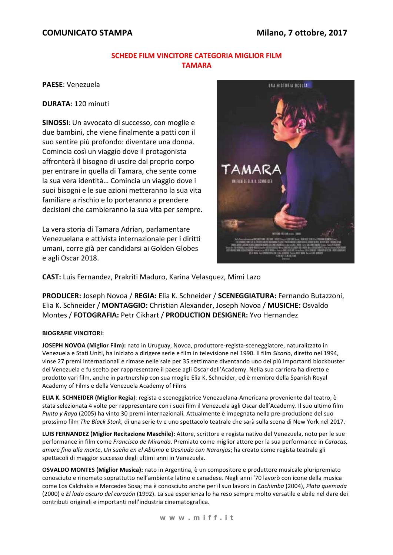## **COMUNICATO STAMPA**

### **SCHEDE FILM VINCITORE CATEGORIA MIGLIOR FILM** ΤΑΜΑΡΑ

PAESE: Venezuela

**DURATA: 120 minuti** 

SINOSSI: Un avvocato di successo, con moglie e due bambini, che viene finalmente a patti con il suo sentire più profondo: diventare una donna. Comincia così un viaggio dove il protagonista affronterà il bisogno di uscire dal proprio corpo per entrare in quella di Tamara, che sente come la sua vera identità... Comincia un viaggio dove i suoi bisogni e le sue azioni metteranno la sua vita familiare a rischio e lo porteranno a prendere decisioni che cambieranno la sua vita per sempre.

La vera storia di Tamara Adrian, parlamentare Venezuelana e attivista internazionale per i diritti umani, corre già per candidarsi ai Golden Globes e agli Oscar 2018.



CAST: Luis Fernandez, Prakriti Maduro, Karina Velasquez, Mimi Lazo

PRODUCER: Joseph Novoa / REGIA: Elia K. Schneider / SCENEGGIATURA: Fernando Butazzoni, Elia K. Schneider / MONTAGGIO: Christian Alexander, Joseph Novoa / MUSICHE: Osvaldo Montes / FOTOGRAFIA: Petr Cikhart / PRODUCTION DESIGNER: Yvo Hernandez

#### **BIOGRAFIE VINCITORI:**

JOSEPH NOVOA (Miglior Film): nato in Uruguay, Novoa, produttore-regista-sceneggiatore, naturalizzato in Venezuela e Stati Uniti, ha iniziato a dirigere serie e film in televisione nel 1990. Il film Sicario, diretto nel 1994. vinse 27 premi internazionali e rimase nelle sale per 35 settimane diventando uno dei più importanti blockbuster del Venezuela e fu scelto per rappresentare il paese agli Oscar dell'Academy. Nella sua carriera ha diretto e prodotto vari film, anche in partnership con sua moglie Elia K. Schneider, ed è membro della Spanish Royal Academy of Films e della Venezuela Academy of Films

ELIA K. SCHNEIDER (Miglior Regia): regista e sceneggiatrice Venezuelana-Americana proveniente dal teatro, è stata selezionata 4 volte per rappresentare con i suoi film il Venezuela agli Oscar dell'Academy. Il suo ultimo film Punto y Raya (2005) ha vinto 30 premi internazionali. Attualmente è impegnata nella pre-produzione del suo prossimo film The Black Stork, di una serie tv e uno spettacolo teatrale che sarà sulla scena di New York nel 2017.

LUIS FERNANDEZ (Miglior Recitazione Maschile): Attore, scrittore e regista nativo del Venezuela, noto per le sue performance in film come Francisco de Miranda. Premiato come miglior attore per la sua performance in Caracas, amore fino alla morte, Un sueño en el Abismo e Desnudo con Naranjas; ha creato come regista teatrale gli spettacoli di maggior successo degli ultimi anni in Venezuela.

OSVALDO MONTES (Miglior Musica): nato in Argentina, è un compositore e produttore musicale pluripremiato conosciuto e rinomato soprattutto nell'ambiente latino e canadese. Negli anni '70 lavorò con icone della musica come Los Calchakis e Mercedes Sosa; ma è conosciuto anche per il suo lavoro in Cachimba (2004), Plata quemada (2000) e El lado oscuro del corazón (1992). La sua esperienza lo ha reso sempre molto versatile e abile nel dare dei contributi originali e importanti nell'industria cinematografica.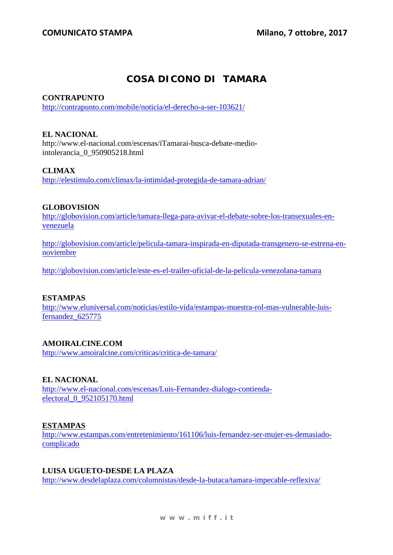# **COSA DICONO DI TAMARA**

### **CONTRAPUNTO**

http://contrapunto.com/mobile/noticia/el-derecho-a-ser-103621/

## **EL NACIONAL**

http://www.el-nacional.com/escenas/iTamarai-busca-debate-mediointolerancia\_0\_950905218.html

## **CLIMAX**

http://elestimulo.com/climax/la-intimidad-protegida-de-tamara-adrian/

## **GLOBOVISION**

http://globovision.com/article/tamara-llega-para-avivar-el-debate-sobre-los-transexuales-envenezuela

http://globovision.com/article/pelicula-tamara-inspirada-en-diputada-transgenero-se-estrena-ennoviembre

http://globovision.com/article/este-es-el-trailer-oficial-de-la-pelicula-venezolana-tamara

## **ESTAMPAS**

http://www.eluniversal.com/noticias/estilo-vida/estampas-muestra-rol-mas-vulnerable-luisfernandez\_625775

## **AMOIRALCINE.COM**

http://www.amoiralcine.com/criticas/critica-de-tamara/

## **EL NACIONAL**

http://www.el-nacional.com/escenas/Luis-Fernandez-dialogo-contiendaelectoral\_0\_952105170.html

### **ESTAMPAS**

http://www.estampas.com/entretenimiento/161106/luis-fernandez-ser-mujer-es-demasiadocomplicado

### **LUISA UGUETO-DESDE LA PLAZA**

http://www.desdelaplaza.com/columnistas/desde-la-butaca/tamara-impecable-reflexiva/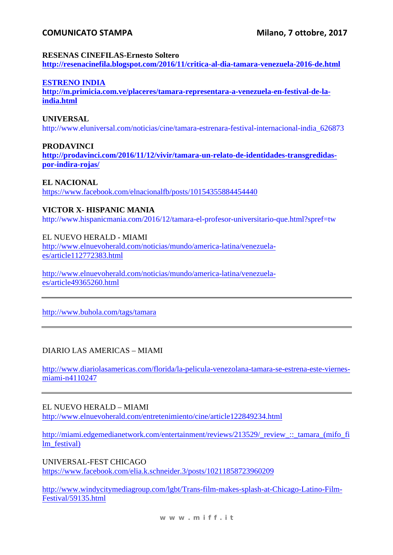## **COMUNICATO STAMPA**

### **RESENAS CINEFILAS-Ernesto Soltero**

**http://resenacinefila.blogspot.com/2016/11/critica-al-dia-tamara-venezuela-2016-de.html** 

### **ESTRENO INDIA**

**http://m.primicia.com.ve/placeres/tamara-representara-a-venezuela-en-festival-de-laindia.html**

### **UNIVERSAL**

http://www.eluniversal.com/noticias/cine/tamara-estrenara-festival-internacional-india\_626873

### **PRODAVINCI**

**http://prodavinci.com/2016/11/12/vivir/tamara-un-relato-de-identidades-transgredidaspor-indira-rojas/**

### **EL NACIONAL**

https://www.facebook.com/elnacionalfb/posts/10154355884454440

### **VICTOR X- HISPANIC MANIA**

http://www.hispanicmania.com/2016/12/tamara-el-profesor-universitario-que.html?spref=tw

### EL NUEVO HERALD - MIAMI

http://www.elnuevoherald.com/noticias/mundo/america-latina/venezuelaes/article112772383.html

http://www.elnuevoherald.com/noticias/mundo/america-latina/venezuelaes/article49365260.html

http://www.buhola.com/tags/tamara

### DIARIO LAS AMERICAS – MIAMI

http://www.diariolasamericas.com/florida/la-pelicula-venezolana-tamara-se-estrena-este-viernesmiami-n4110247

### EL NUEVO HERALD – MIAMI http://www.elnuevoherald.com/entretenimiento/cine/article122849234.html

http://miami.edgemedianetwork.com/entertainment/reviews/213529/\_review ::\_tamara\_(mifo\_fi lm\_festival)

UNIVERSAL-FEST CHICAGO https://www.facebook.com/elia.k.schneider.3/posts/10211858723960209

http://www.windycitymediagroup.com/lgbt/Trans-film-makes-splash-at-Chicago-Latino-Film-Festival/59135.html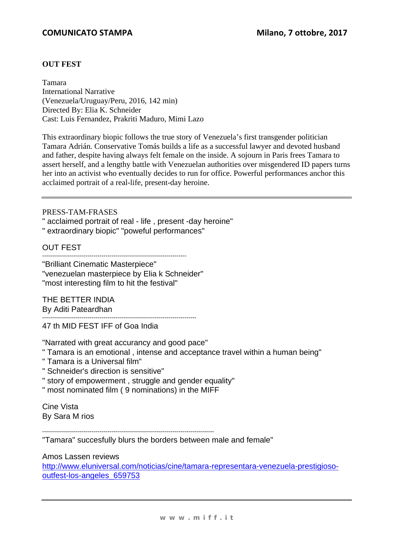### **OUT FEST**

Tamara International Narrative (Venezuela/Uruguay/Peru, 2016, 142 min) Directed By: Elia K. Schneider Cast: Luis Fernandez, Prakriti Maduro, Mimi Lazo

This extraordinary biopic follows the true story of Venezuela's first transgender politician Tamara Adrián. Conservative Tomás builds a life as a successful lawyer and devoted husband and father, despite having always felt female on the inside. A sojourn in Paris frees Tamara to assert herself, and a lengthy battle with Venezuelan authorities over misgendered ID papers turns her into an activist who eventually decides to run for office. Powerful performances anchor this acclaimed portrait of a real-life, present-day heroine.

### PRESS-TAM-FRASES

" acclaimed portrait of real - life , present -day heroine"

" extraordinary biopic" "poweful performances"

OUT FEST

------------------------------------------------------------------------- "Brilliant Cinematic Masterpiece"

"venezuelan masterpiece by Elia k Schneider" "most interesting film to hit the festival"

THE BETTER INDIA By Aditi Pateardhan

------------------------------------------------------------------------------ 47 th MID FEST IFF of Goa India

"Narrated with great accurancy and good pace"

- " Tamara is an emotional , intense and acceptance travel within a human being"
- " Tamara is a Universal film"
- " Schneider's direction is sensitive"
- " story of empowerment , struggle and gender equality"
- " most nominated film ( 9 nominations) in the MIFF

Cine Vista By Sara M rios

---------------------------------------------------------------------------------------

"Tamara" succesfully blurs the borders between male and female"

Amos Lassen reviews

http://www.eluniversal.com/noticias/cine/tamara-representara-venezuela-prestigiosooutfest-los-angeles\_659753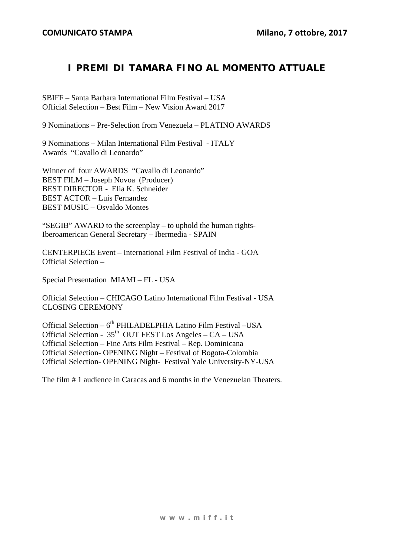# **I PREMI DI TAMARA FINO AL MOMENTO ATTUALE**

SBIFF – Santa Barbara International Film Festival – USA Official Selection – Best Film – New Vision Award 2017

9 Nominations – Pre-Selection from Venezuela – PLATINO AWARDS

9 Nominations – Milan International Film Festival - ITALY Awards "Cavallo di Leonardo"

Winner of four AWARDS "Cavallo di Leonardo" BEST FILM – Joseph Novoa (Producer) BEST DIRECTOR - Elia K. Schneider BEST ACTOR – Luis Fernandez BEST MUSIC – Osvaldo Montes

"SEGIB" AWARD to the screenplay – to uphold the human rights-Iberoamerican General Secretary – Ibermedia - SPAIN

CENTERPIECE Event – International Film Festival of India - GOA Official Selection –

Special Presentation MIAMI – FL - USA

Official Selection – CHICAGO Latino International Film Festival - USA CLOSING CEREMONY

Official Selection –  $6<sup>th</sup>$  PHILADELPHIA Latino Film Festival –USA Official Selection -  $35<sup>th</sup>$  OUT FEST Los Angeles – CA – USA Official Selection – Fine Arts Film Festival – Rep. Dominicana Official Selection- OPENING Night – Festival of Bogota-Colombia Official Selection- OPENING Night- Festival Yale University-NY-USA

The film # 1 audience in Caracas and 6 months in the Venezuelan Theaters.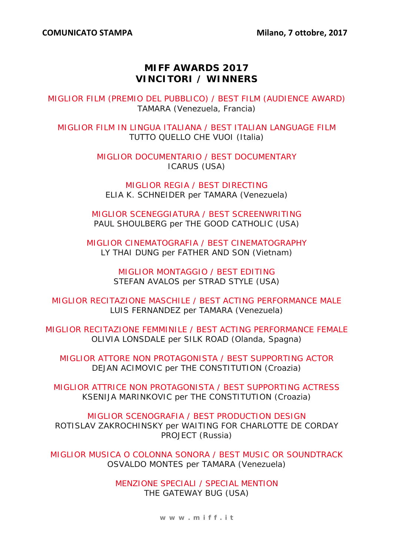# **MIFF AWARDS 2017 VINCITORI / WINNERS**

MIGLIOR FILM (PREMIO DEL PUBBLICO) / BEST FILM (AUDIENCE AWARD) TAMARA (Venezuela, Francia)

MIGLIOR FILM IN LINGUA ITALIANA / BEST ITALIAN LANGUAGE FILM TUTTO QUELLO CHE VUOI (Italia)

> MIGLIOR DOCUMENTARIO / BEST DOCUMENTARY ICARUS (USA)

MIGLIOR REGIA / BEST DIRECTING ELIA K. SCHNEIDER per TAMARA (Venezuela)

MIGLIOR SCENEGGIATURA / BEST SCREENWRITING PAUL SHOULBERG per THE GOOD CATHOLIC (USA)

MIGLIOR CINEMATOGRAFIA / BEST CINEMATOGRAPHY LY THAI DUNG per FATHER AND SON (Vietnam)

> MIGLIOR MONTAGGIO / BEST EDITING STEFAN AVALOS per STRAD STYLE (USA)

MIGLIOR RECITAZIONE MASCHILE / BEST ACTING PERFORMANCE MALE LUIS FERNANDEZ per TAMARA (Venezuela)

MIGLIOR RECITAZIONE FEMMINILE / BEST ACTING PERFORMANCE FEMALE OLIVIA LONSDALE per SILK ROAD (Olanda, Spagna)

MIGLIOR ATTORE NON PROTAGONISTA / BEST SUPPORTING ACTOR DEJAN ACIMOVIC per THE CONSTITUTION (Croazia)

MIGLIOR ATTRICE NON PROTAGONISTA / BEST SUPPORTING ACTRESS KSENIJA MARINKOVIC per THE CONSTITUTION (Croazia)

MIGLIOR SCENOGRAFIA / BEST PRODUCTION DESIGN ROTISLAV ZAKROCHINSKY per WAITING FOR CHARLOTTE DE CORDAY PROJECT (Russia)

MIGLIOR MUSICA O COLONNA SONORA / BEST MUSIC OR SOUNDTRACK OSVALDO MONTES per TAMARA (Venezuela)

> MENZIONE SPECIALI / SPECIAL MENTION THE GATEWAY BUG (USA)